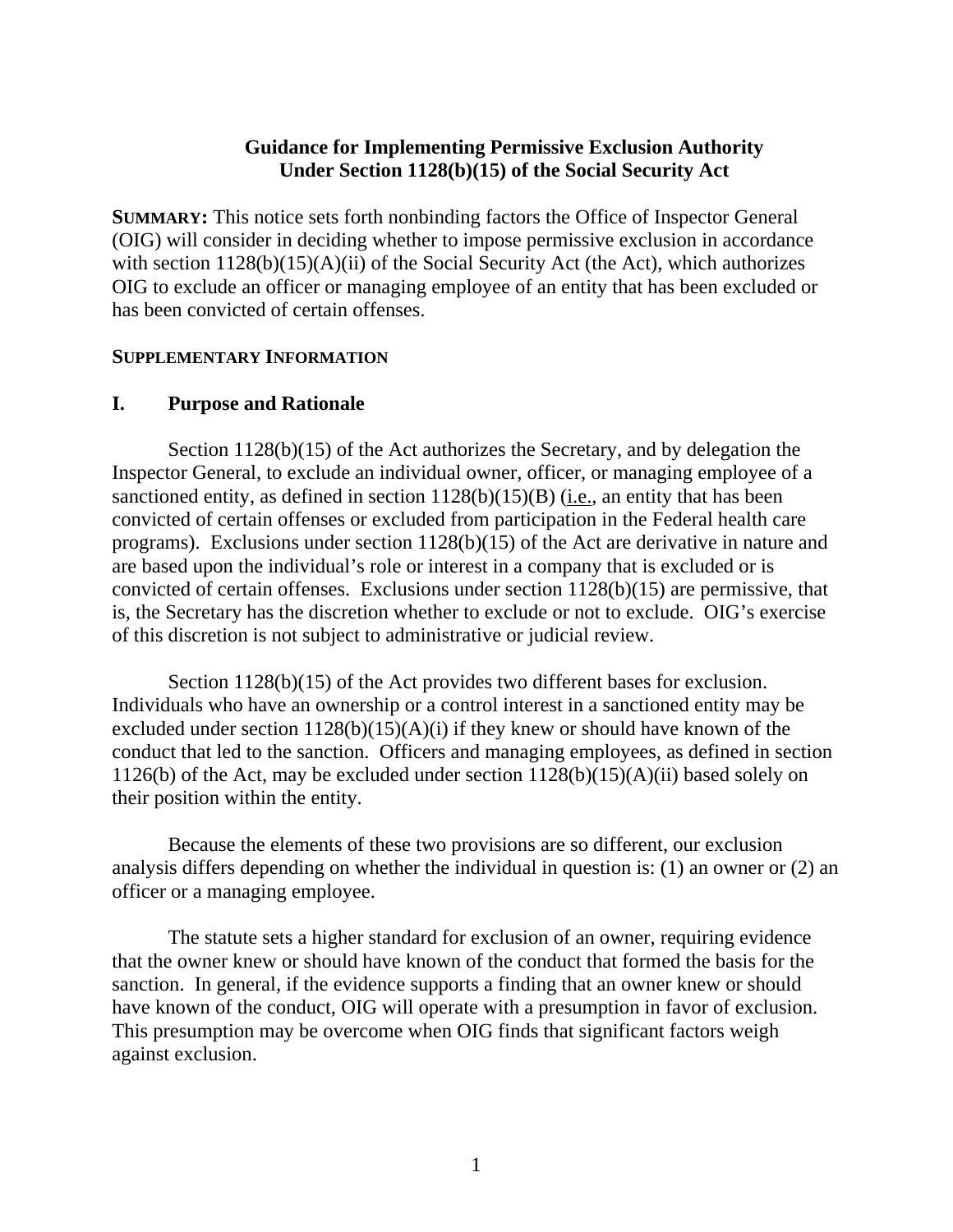### **Guidance for Implementing Permissive Exclusion Authority Under Section 1128(b)(15) of the Social Security Act**

**SUMMARY:** This notice sets forth nonbinding factors the Office of Inspector General (OIG) will consider in deciding whether to impose permissive exclusion in accordance with section  $1128(b)(15)(A)(ii)$  of the Social Security Act (the Act), which authorizes OIG to exclude an officer or managing employee of an entity that has been excluded or has been convicted of certain offenses.

#### **SUPPLEMENTARY INFORMATION**

### **I. Purpose and Rationale**

Section 1128(b)(15) of the Act authorizes the Secretary, and by delegation the Inspector General, to exclude an individual owner, officer, or managing employee of a sanctioned entity, as defined in section  $1128(b)(15)(B)$  (i.e., an entity that has been convicted of certain offenses or excluded from participation in the Federal health care programs). Exclusions under section 1128(b)(15) of the Act are derivative in nature and are based upon the individual's role or interest in a company that is excluded or is convicted of certain offenses. Exclusions under section 1128(b)(15) are permissive, that is, the Secretary has the discretion whether to exclude or not to exclude. OIG's exercise of this discretion is not subject to administrative or judicial review.

Section 1128(b)(15) of the Act provides two different bases for exclusion. Individuals who have an ownership or a control interest in a sanctioned entity may be excluded under section  $1128(b)(15)(A)(i)$  if they knew or should have known of the conduct that led to the sanction. Officers and managing employees, as defined in section 1126(b) of the Act, may be excluded under section  $1128(b)(15)(A)(ii)$  based solely on their position within the entity.

Because the elements of these two provisions are so different, our exclusion analysis differs depending on whether the individual in question is: (1) an owner or (2) an officer or a managing employee.

The statute sets a higher standard for exclusion of an owner, requiring evidence that the owner knew or should have known of the conduct that formed the basis for the sanction. In general, if the evidence supports a finding that an owner knew or should have known of the conduct, OIG will operate with a presumption in favor of exclusion. This presumption may be overcome when OIG finds that significant factors weigh against exclusion.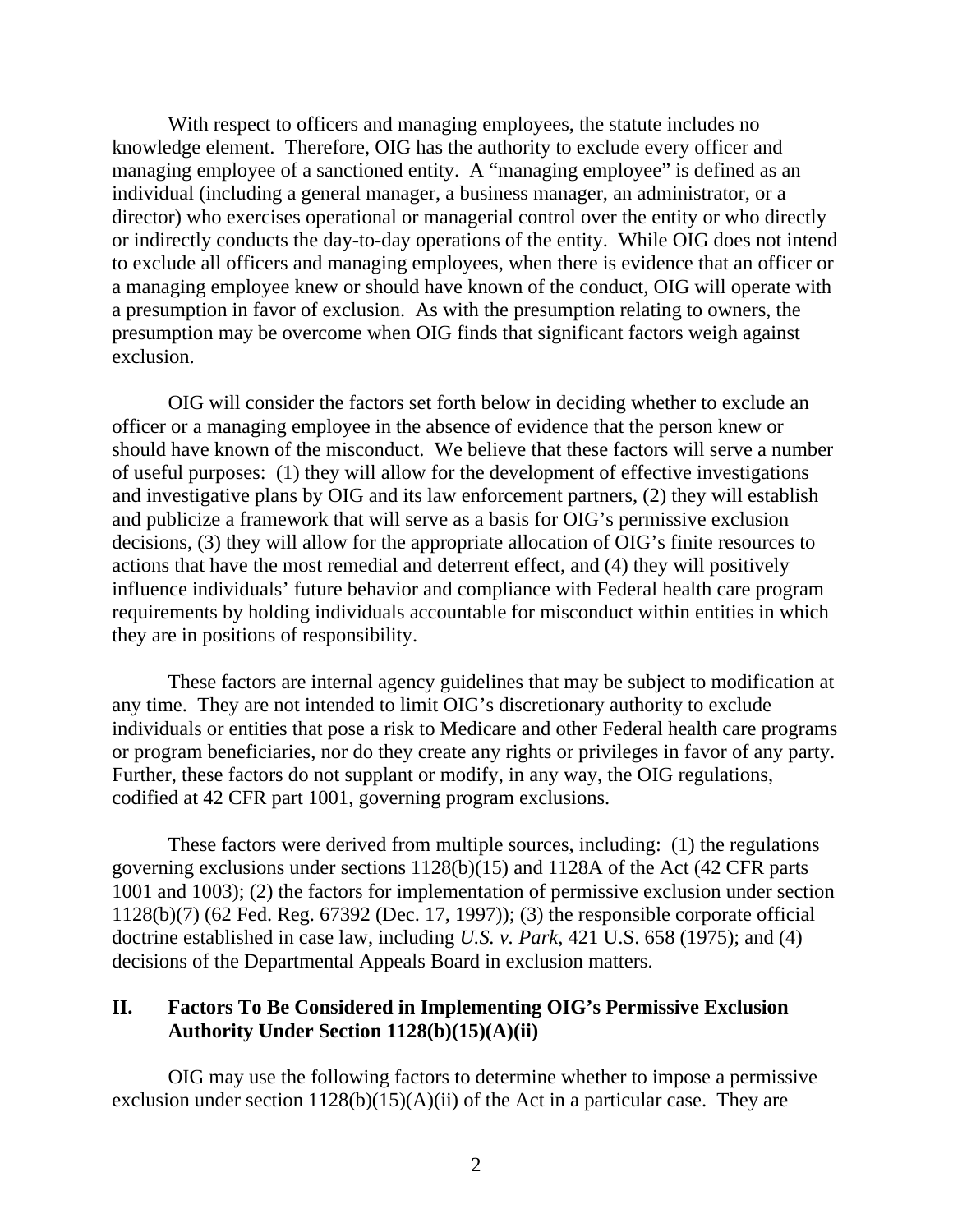With respect to officers and managing employees, the statute includes no knowledge element. Therefore, OIG has the authority to exclude every officer and managing employee of a sanctioned entity. A "managing employee" is defined as an individual (including a general manager, a business manager, an administrator, or a director) who exercises operational or managerial control over the entity or who directly or indirectly conducts the day-to-day operations of the entity. While OIG does not intend to exclude all officers and managing employees, when there is evidence that an officer or a managing employee knew or should have known of the conduct, OIG will operate with a presumption in favor of exclusion. As with the presumption relating to owners, the presumption may be overcome when OIG finds that significant factors weigh against exclusion.

OIG will consider the factors set forth below in deciding whether to exclude an officer or a managing employee in the absence of evidence that the person knew or should have known of the misconduct. We believe that these factors will serve a number of useful purposes: (1) they will allow for the development of effective investigations and investigative plans by OIG and its law enforcement partners, (2) they will establish and publicize a framework that will serve as a basis for OIG's permissive exclusion decisions, (3) they will allow for the appropriate allocation of OIG's finite resources to actions that have the most remedial and deterrent effect, and (4) they will positively influence individuals' future behavior and compliance with Federal health care program requirements by holding individuals accountable for misconduct within entities in which they are in positions of responsibility.

These factors are internal agency guidelines that may be subject to modification at any time. They are not intended to limit OIG's discretionary authority to exclude individuals or entities that pose a risk to Medicare and other Federal health care programs or program beneficiaries, nor do they create any rights or privileges in favor of any party. Further, these factors do not supplant or modify, in any way, the OIG regulations, codified at 42 CFR part 1001, governing program exclusions.

These factors were derived from multiple sources, including: (1) the regulations governing exclusions under sections 1128(b)(15) and 1128A of the Act (42 CFR parts 1001 and 1003); (2) the factors for implementation of permissive exclusion under section 1128(b)(7) (62 Fed. Reg. 67392 (Dec. 17, 1997)); (3) the responsible corporate official doctrine established in case law, including *U.S. v. Park*, 421 U.S. 658 (1975); and (4) decisions of the Departmental Appeals Board in exclusion matters.

### **II. Factors To Be Considered in Implementing OIG's Permissive Exclusion Authority Under Section 1128(b)(15)(A)(ii)**

OIG may use the following factors to determine whether to impose a permissive exclusion under section  $1128(b)(15)(A)(ii)$  of the Act in a particular case. They are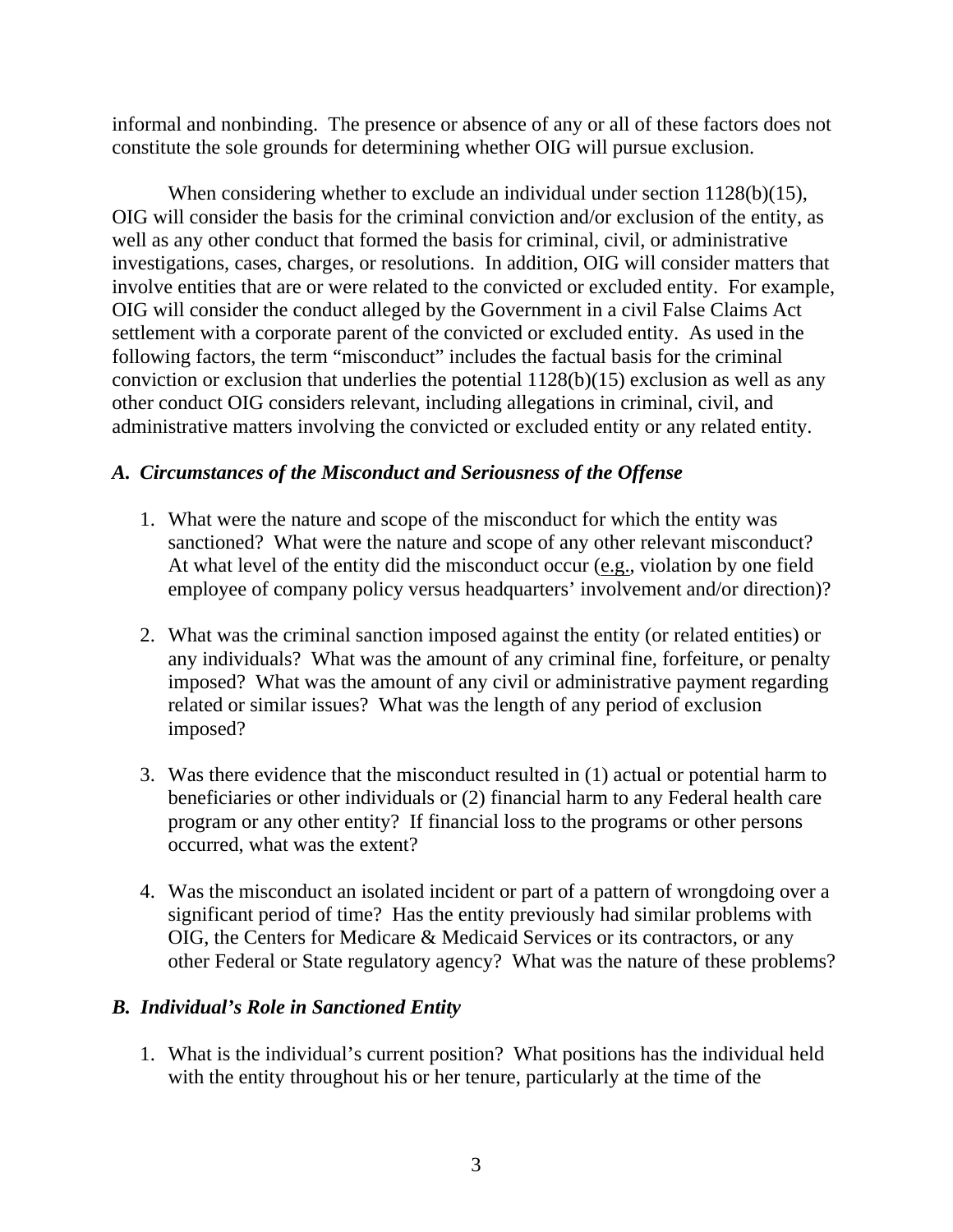informal and nonbinding. The presence or absence of any or all of these factors does not constitute the sole grounds for determining whether OIG will pursue exclusion.

When considering whether to exclude an individual under section 1128(b)(15), OIG will consider the basis for the criminal conviction and/or exclusion of the entity, as well as any other conduct that formed the basis for criminal, civil, or administrative investigations, cases, charges, or resolutions. In addition, OIG will consider matters that involve entities that are or were related to the convicted or excluded entity. For example, OIG will consider the conduct alleged by the Government in a civil False Claims Act settlement with a corporate parent of the convicted or excluded entity. As used in the following factors, the term "misconduct" includes the factual basis for the criminal conviction or exclusion that underlies the potential 1128(b)(15) exclusion as well as any other conduct OIG considers relevant, including allegations in criminal, civil, and administrative matters involving the convicted or excluded entity or any related entity.

## *A. Circumstances of the Misconduct and Seriousness of the Offense*

- sanctioned? What were the nature and scope of any other relevant misconduct? 1. What were the nature and scope of the misconduct for which the entity was At what level of the entity did the misconduct occur (e.g., violation by one field employee of company policy versus headquarters' involvement and/or direction)?
- 2. What was the criminal sanction imposed against the entity (or related entities) or any individuals? What was the amount of any criminal fine, forfeiture, or penalty imposed? What was the amount of any civil or administrative payment regarding related or similar issues? What was the length of any period of exclusion imposed?
- 3. Was there evidence that the misconduct resulted in (1) actual or potential harm to beneficiaries or other individuals or (2) financial harm to any Federal health care program or any other entity? If financial loss to the programs or other persons occurred, what was the extent?
- 4. Was the misconduct an isolated incident or part of a pattern of wrongdoing over a significant period of time? Has the entity previously had similar problems with OIG, the Centers for Medicare & Medicaid Services or its contractors, or any other Federal or State regulatory agency? What was the nature of these problems?

# *B. Individual's Role in Sanctioned Entity*

1. What is the individual's current position? What positions has the individual held with the entity throughout his or her tenure, particularly at the time of the